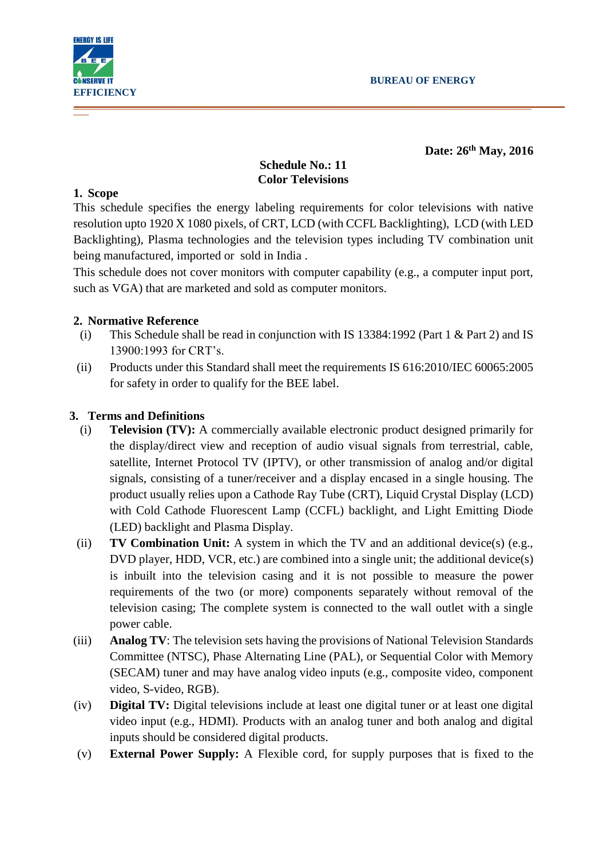

**Date: 26 th May, 2016**

# **Schedule No.: 11 Color Televisions**

#### **1. Scope**

This schedule specifies the energy labeling requirements for color televisions with native resolution upto 1920 X 1080 pixels, of CRT, LCD (with CCFL Backlighting), LCD (with LED Backlighting), Plasma technologies and the television types including TV combination unit being manufactured, imported or sold in India .

This schedule does not cover monitors with computer capability (e.g., a computer input port, such as VGA) that are marketed and sold as computer monitors.

# **2. Normative Reference**

- (i) This Schedule shall be read in conjunction with IS 13384:1992 (Part 1 & Part 2) and IS 13900:1993 for CRT's.
- (ii) Products under this Standard shall meet the requirements IS 616:2010/IEC 60065:2005 for safety in order to qualify for the BEE label.

# **3. Terms and Definitions**

- (i) **Television (TV):** A commercially available electronic product designed primarily for the display/direct view and reception of audio visual signals from terrestrial, cable, satellite, Internet Protocol TV (IPTV), or other transmission of analog and/or digital signals, consisting of a tuner/receiver and a display encased in a single housing. The product usually relies upon a Cathode Ray Tube (CRT), Liquid Crystal Display (LCD) with Cold Cathode Fluorescent Lamp (CCFL) backlight, and Light Emitting Diode (LED) backlight and Plasma Display.
- (ii) **TV Combination Unit:** A system in which the TV and an additional device(s) (e.g., DVD player, HDD, VCR, etc.) are combined into a single unit; the additional device(s) is inbuilt into the television casing and it is not possible to measure the power requirements of the two (or more) components separately without removal of the television casing; The complete system is connected to the wall outlet with a single power cable.
- (iii) **Analog TV**: The television sets having the provisions of National Television Standards Committee (NTSC), Phase Alternating Line (PAL), or Sequential Color with Memory (SECAM) tuner and may have analog video inputs (e.g., composite video, component video, S-video, RGB).
- (iv) **Digital TV:** Digital televisions include at least one digital tuner or at least one digital video input (e.g., HDMI). Products with an analog tuner and both analog and digital inputs should be considered digital products.
- (v) **External Power Supply:** A Flexible cord, for supply purposes that is fixed to the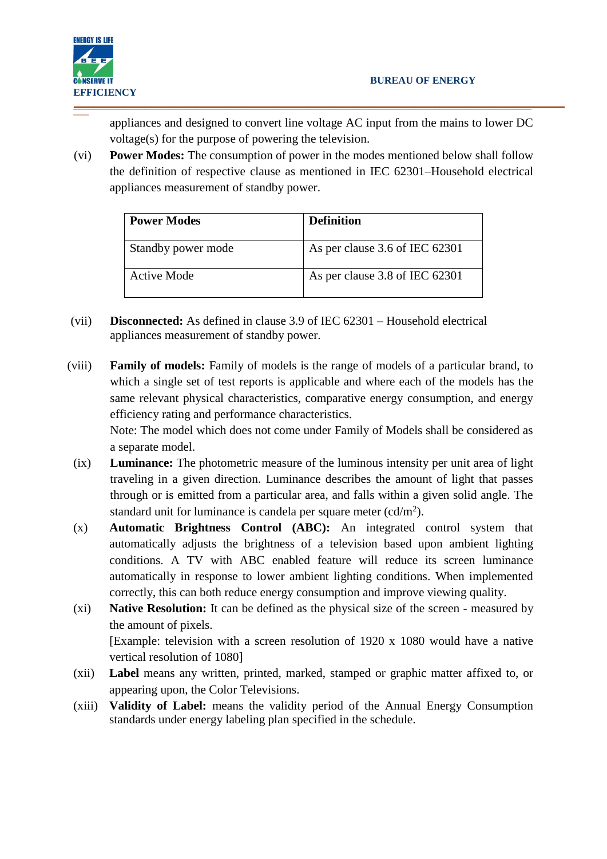appliances and designed to convert line voltage AC input from the mains to lower DC voltage(s) for the purpose of powering the television.

(vi) **Power Modes:** The consumption of power in the modes mentioned below shall follow the definition of respective clause as mentioned in IEC 62301–Household electrical appliances measurement of standby power.

\_\_\_\_\_\_\_\_\_\_\_\_\_\_\_\_\_\_\_\_\_\_\_\_\_\_\_\_\_\_\_\_\_\_\_\_\_\_\_\_\_\_\_\_\_\_\_\_\_\_\_\_\_\_\_\_\_\_\_\_\_\_\_\_\_\_\_\_\_\_\_\_\_\_\_\_\_\_\_\_\_\_\_\_\_\_\_\_\_\_

| <b>Power Modes</b> | <b>Definition</b>              |
|--------------------|--------------------------------|
| Standby power mode | As per clause 3.6 of IEC 62301 |
| Active Mode        | As per clause 3.8 of IEC 62301 |

- (vii) **Disconnected:** As defined in clause 3.9 of IEC 62301 Household electrical appliances measurement of standby power.
- (viii) **Family of models:** Family of models is the range of models of a particular brand, to which a single set of test reports is applicable and where each of the models has the same relevant physical characteristics, comparative energy consumption, and energy efficiency rating and performance characteristics. Note: The model which does not come under Family of Models shall be considered as

a separate model.

- (ix) **Luminance:** The photometric measure of the luminous intensity per unit area of light traveling in a given direction. Luminance describes the amount of light that passes through or is emitted from a particular area, and falls within a given solid angle. The standard unit for luminance is candela per square meter  $(cd/m^2)$ .
- (x) **Automatic Brightness Control (ABC):** An integrated control system that automatically adjusts the brightness of a television based upon ambient lighting conditions. A TV with ABC enabled feature will reduce its screen luminance automatically in response to lower ambient lighting conditions. When implemented correctly, this can both reduce energy consumption and improve viewing quality.
- (xi) **Native Resolution:** It can be defined as the physical size of the screen measured by the amount of pixels. [Example: television with a screen resolution of 1920 x 1080 would have a native vertical resolution of 1080]
- (xii) **Label** means any written, printed, marked, stamped or graphic matter affixed to, or appearing upon, the Color Televisions.
- (xiii) **Validity of Label:** means the validity period of the Annual Energy Consumption standards under energy labeling plan specified in the schedule.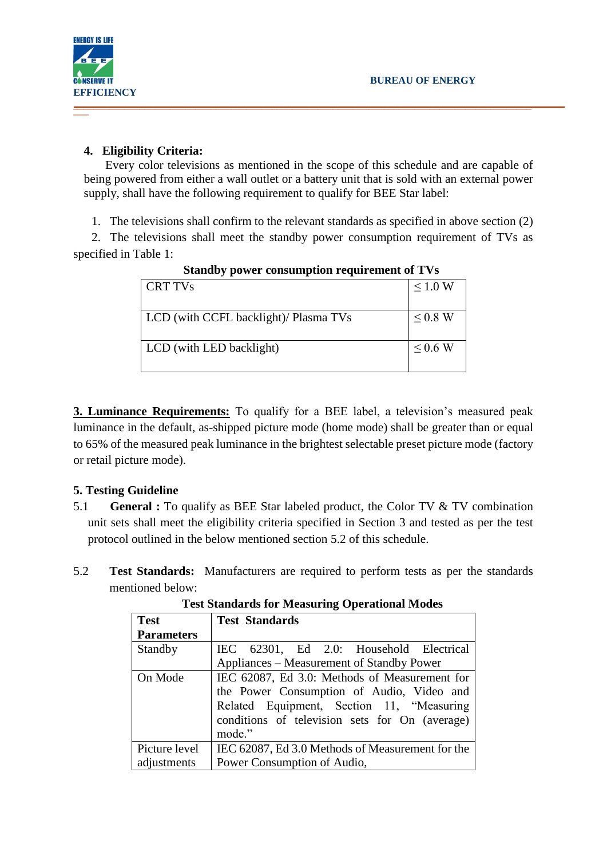

**ENERGY IS LIFE** 

# **4. Eligibility Criteria:**

Every color televisions as mentioned in the scope of this schedule and are capable of being powered from either a wall outlet or a battery unit that is sold with an external power supply, shall have the following requirement to qualify for BEE Star label:

\_\_\_\_\_\_\_\_\_\_\_\_\_\_\_\_\_\_\_\_\_\_\_\_\_\_\_\_\_\_\_\_\_\_\_\_\_\_\_\_\_\_\_\_\_\_\_\_\_\_\_\_\_\_\_\_\_\_\_\_\_\_\_\_\_\_\_\_\_\_\_\_\_\_\_\_\_\_\_\_\_\_\_\_\_\_\_\_\_\_

1. The televisions shall confirm to the relevant standards as specified in above section (2)

2. The televisions shall meet the standby power consumption requirement of TVs as specified in Table 1:

| CRT TVs                               | $\leq 1.0$ W |
|---------------------------------------|--------------|
| LCD (with CCFL backlight)/ Plasma TVs | $\leq$ 0.8 W |
| LCD (with LED backlight)              | $\leq$ 0.6 W |

**Standby power consumption requirement of TVs**

**3. Luminance Requirements:** To qualify for a BEE label, a television's measured peak luminance in the default, as-shipped picture mode (home mode) shall be greater than or equal to 65% of the measured peak luminance in the brightest selectable preset picture mode (factory or retail picture mode).

# **5. Testing Guideline**

- 5.1 **General :** To qualify as BEE Star labeled product, the Color TV & TV combination unit sets shall meet the eligibility criteria specified in Section 3 and tested as per the test protocol outlined in the below mentioned section 5.2 of this schedule.
- 5.2 **Test Standards:** Manufacturers are required to perform tests as per the standards mentioned below:

| <b>Test</b>       | <b>Test Standards</b>                            |  |  |  |  |  |
|-------------------|--------------------------------------------------|--|--|--|--|--|
| <b>Parameters</b> |                                                  |  |  |  |  |  |
| Standby           | IEC 62301, Ed 2.0: Household Electrical          |  |  |  |  |  |
|                   | Appliances – Measurement of Standby Power        |  |  |  |  |  |
| On Mode           | IEC 62087, Ed 3.0: Methods of Measurement for    |  |  |  |  |  |
|                   | the Power Consumption of Audio, Video and        |  |  |  |  |  |
|                   | Related Equipment, Section 11, "Measuring        |  |  |  |  |  |
|                   | conditions of television sets for On (average)   |  |  |  |  |  |
|                   | mode."                                           |  |  |  |  |  |
| Picture level     | IEC 62087, Ed 3.0 Methods of Measurement for the |  |  |  |  |  |
| adjustments       | Power Consumption of Audio,                      |  |  |  |  |  |

**Test Standards for Measuring Operational Modes**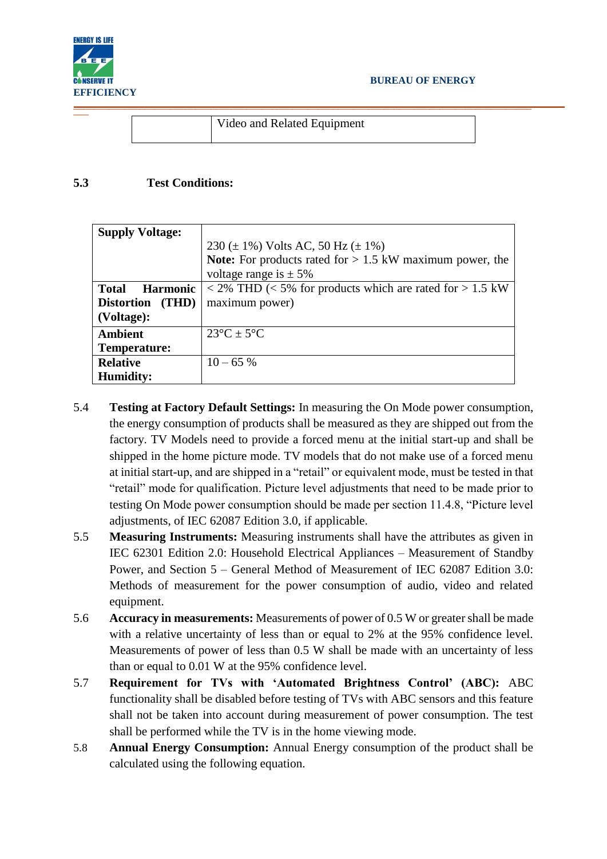

Video and Related Equipment

#### **5.3 Test Conditions:**

| <b>Supply Voltage:</b>          |                                                                                                                  |
|---------------------------------|------------------------------------------------------------------------------------------------------------------|
|                                 | 230 ( $\pm$ 1%) Volts AC, 50 Hz ( $\pm$ 1%)                                                                      |
|                                 | <b>Note:</b> For products rated for $> 1.5$ kW maximum power, the                                                |
|                                 | voltage range is $\pm$ 5%                                                                                        |
| <b>Total</b><br><b>Harmonic</b> | $\langle 2\% \text{ THD} \rangle \langle 5\% \text{ for products which are rated for } > 1.5 \text{ kW} \rangle$ |
| Distortion (THD)                | maximum power)                                                                                                   |
| (Voltage):                      |                                                                                                                  |
| <b>Ambient</b>                  | $23^{\circ}C \pm 5^{\circ}C$                                                                                     |
| Temperature:                    |                                                                                                                  |
| <b>Relative</b>                 | $10 - 65%$                                                                                                       |
| <b>Humidity:</b>                |                                                                                                                  |

- 5.4 **Testing at Factory Default Settings:** In measuring the On Mode power consumption, the energy consumption of products shall be measured as they are shipped out from the factory. TV Models need to provide a forced menu at the initial start-up and shall be shipped in the home picture mode. TV models that do not make use of a forced menu at initial start-up, and are shipped in a "retail" or equivalent mode, must be tested in that "retail" mode for qualification. Picture level adjustments that need to be made prior to testing On Mode power consumption should be made per section 11.4.8, "Picture level adjustments, of IEC 62087 Edition 3.0, if applicable.
- 5.5 **Measuring Instruments:** Measuring instruments shall have the attributes as given in IEC 62301 Edition 2.0: Household Electrical Appliances – Measurement of Standby Power, and Section 5 – General Method of Measurement of IEC 62087 Edition 3.0: Methods of measurement for the power consumption of audio, video and related equipment.
- 5.6 **Accuracy in measurements:** Measurements of power of 0.5 W or greater shall be made with a relative uncertainty of less than or equal to 2% at the 95% confidence level. Measurements of power of less than 0.5 W shall be made with an uncertainty of less than or equal to 0.01 W at the 95% confidence level.
- 5.7 **Requirement for TVs with 'Automated Brightness Control' (ABC):** ABC functionality shall be disabled before testing of TVs with ABC sensors and this feature shall not be taken into account during measurement of power consumption. The test shall be performed while the TV is in the home viewing mode.
- 5.8 **Annual Energy Consumption:** Annual Energy consumption of the product shall be calculated using the following equation.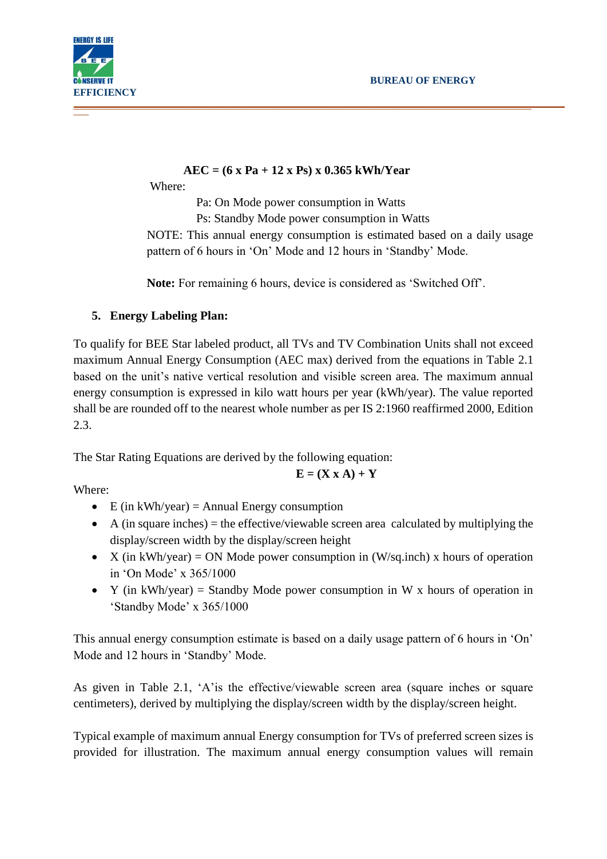

# **AEC = (6 x Pa + 12 x Ps) x 0.365 kWh/Year**

Where:

Pa: On Mode power consumption in Watts Ps: Standby Mode power consumption in Watts NOTE: This annual energy consumption is estimated based on a daily usage pattern of 6 hours in 'On' Mode and 12 hours in 'Standby' Mode.

**Note:** For remaining 6 hours, device is considered as 'Switched Off'.

# **5. Energy Labeling Plan:**

To qualify for BEE Star labeled product, all TVs and TV Combination Units shall not exceed maximum Annual Energy Consumption (AEC max) derived from the equations in Table 2.1 based on the unit's native vertical resolution and visible screen area. The maximum annual energy consumption is expressed in kilo watt hours per year (kWh/year). The value reported shall be are rounded off to the nearest whole number as per IS 2:1960 reaffirmed 2000, Edition 2.3.

The Star Rating Equations are derived by the following equation:

$$
\mathbf{E} = (\mathbf{X} \mathbf{x} \mathbf{A}) + \mathbf{Y}
$$

Where:

- $\bullet$  E (in kWh/year) = Annual Energy consumption
- $\blacklozenge$  A (in square inches) = the effective/viewable screen area calculated by multiplying the display/screen width by the display/screen height
- $\bullet$  X (in kWh/year) = ON Mode power consumption in (W/sq.inch) x hours of operation in 'On Mode' x 365/1000
- Y (in kWh/year) = Standby Mode power consumption in W x hours of operation in 'Standby Mode' x 365/1000

This annual energy consumption estimate is based on a daily usage pattern of 6 hours in 'On' Mode and 12 hours in 'Standby' Mode.

As given in Table 2.1, 'A'is the effective/viewable screen area (square inches or square centimeters), derived by multiplying the display/screen width by the display/screen height.

Typical example of maximum annual Energy consumption for TVs of preferred screen sizes is provided for illustration. The maximum annual energy consumption values will remain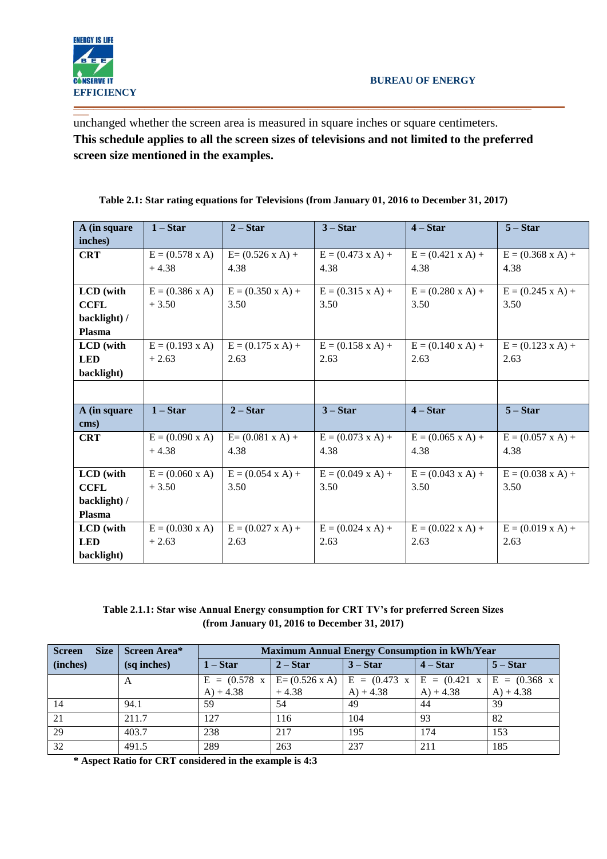

\_\_\_ unchanged whether the screen area is measured in square inches or square centimeters. **This schedule applies to all the screen sizes of televisions and not limited to the preferred screen size mentioned in the examples.**

| A (in square | $1 - Star$                | $2 - Star$                  | $3 - Star$                  | $4 - Star$                  | $5 - Star$                  |
|--------------|---------------------------|-----------------------------|-----------------------------|-----------------------------|-----------------------------|
| inches)      |                           |                             |                             |                             |                             |
| <b>CRT</b>   | $E = (0.578 \text{ x A})$ | $E = (0.526 \times A) +$    | $E = (0.473 \times A) +$    | $E = (0.421 \times A) +$    | $E = (0.368 \text{ x A}) +$ |
|              | $+4.38$                   | 4.38                        | 4.38                        | 4.38                        | 4.38                        |
|              |                           |                             |                             |                             |                             |
| LCD (with    | $E = (0.386 \times A)$    | $E = (0.350 \times A) +$    | $E = (0.315 \times A) +$    | $E = (0.280 \times A) +$    | $E = (0.245 \times A) +$    |
| <b>CCFL</b>  | $+3.50$                   | 3.50                        | 3.50                        | 3.50                        | 3.50                        |
| backlight) / |                           |                             |                             |                             |                             |
| Plasma       |                           |                             |                             |                             |                             |
| LCD (with    | $E = (0.193 \text{ x A})$ | $E = (0.175 \text{ x A}) +$ | $E = (0.158 \text{ x A}) +$ | $E = (0.140 \text{ x A}) +$ | $E = (0.123 \text{ x A}) +$ |
| <b>LED</b>   | $+2.63$                   | 2.63                        | 2.63                        | 2.63                        | 2.63                        |
| backlight)   |                           |                             |                             |                             |                             |
|              |                           |                             |                             |                             |                             |
| A (in square | $1 - Star$                | $2 - Star$                  | $3 - Star$                  | $4 - Star$                  | $5 - Star$                  |
| cms)         |                           |                             |                             |                             |                             |
| <b>CRT</b>   | $E = (0.090 \times A)$    | $E = (0.081 \times A) +$    | $E = (0.073 \text{ x A}) +$ | $E = (0.065 \times A) +$    | $E = (0.057 \times A) +$    |
|              |                           | 4.38                        |                             |                             |                             |
|              | $+4.38$                   |                             | 4.38                        | 4.38                        | 4.38                        |
| LCD (with    |                           |                             |                             |                             |                             |
|              | $E = (0.060 \times A)$    | $E = (0.054 \times A) +$    | $E = (0.049 \text{ x A}) +$ | $E = (0.043 \times A) +$    | $E = (0.038 \text{ x A}) +$ |
| <b>CCFL</b>  | $+3.50$                   | 3.50                        | 3.50                        | 3.50                        | 3.50                        |
| backlight) / |                           |                             |                             |                             |                             |
| Plasma       |                           |                             |                             |                             |                             |
| LCD (with    | $E = (0.030 \times A)$    | $E = (0.027 \times A) +$    | $E = (0.024 \times A) +$    | $E = (0.022 \times A) +$    | $E = (0.019 \text{ x A}) +$ |
| <b>LED</b>   | $+2.63$                   | 2.63                        | 2.63                        | 2.63                        | 2.63                        |

| Table 2.1: Star rating equations for Televisions (from January 01, 2016 to December 31, 2017) |  |  |  |
|-----------------------------------------------------------------------------------------------|--|--|--|
|                                                                                               |  |  |  |

**Table 2.1.1: Star wise Annual Energy consumption for CRT TV's for preferred Screen Sizes (from January 01, 2016 to December 31, 2017)**

| <b>Screen</b><br><b>Size</b> | Screen Area* | <b>Maximum Annual Energy Consumption in kWh/Year</b> |                                                                                        |             |             |             |
|------------------------------|--------------|------------------------------------------------------|----------------------------------------------------------------------------------------|-------------|-------------|-------------|
| (inches)                     | (sq inches)  | $1 - Star$                                           | $2 - Star$                                                                             | $3 - Star$  | $4 - Star$  | $5 - Star$  |
|                              | A            | $E = (0.578 \text{ x})$                              | $\vert$ E = (0.526 x A) $\vert$ E = (0.473 x $\vert$ E = (0.421 x $\vert$ E = (0.368 x |             |             |             |
|                              |              | $A) + 4.38$                                          | $+4.38$                                                                                | $A) + 4.38$ | $A) + 4.38$ | $A) + 4.38$ |
| 14                           | 94.1         | 59                                                   | 54                                                                                     | 49          | 44          | 39          |
| 21                           | 211.7        | 127                                                  | 116                                                                                    | 104         | 93          | 82          |
| 29                           | 403.7        | 238                                                  | 217                                                                                    | 195         | 174         | 153         |
| 32                           | 491.5        | 289                                                  | 263                                                                                    | 237         | 211         | 185         |

**\* Aspect Ratio for CRT considered in the example is 4:3**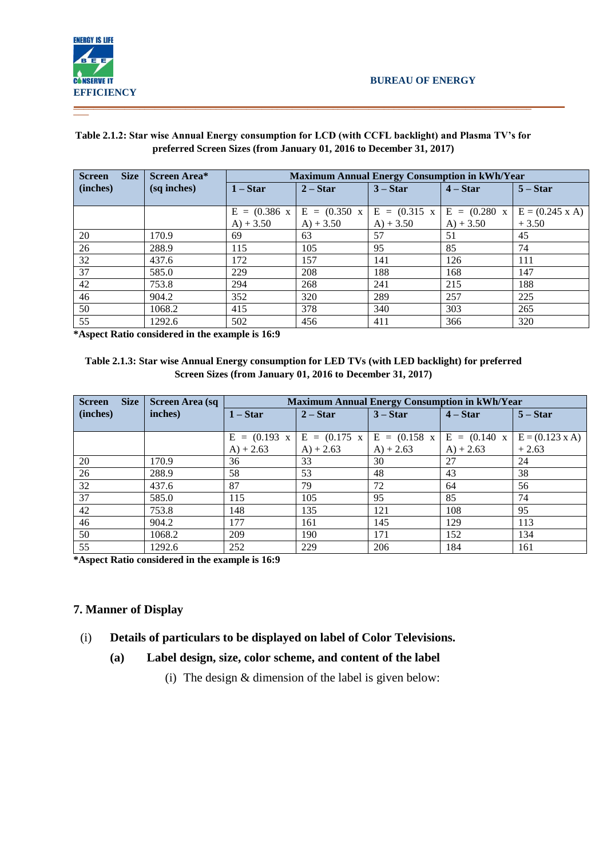

#### **Screen Size (inches) Screen Area\* (sq inches) Maximum Annual Energy Consumption in kWh/Year 1 – Star 2 – Star 3 – Star 4 – Star 5 – Star**   $E = (0.386 x)$  $A) + 3.50$  $E = (0.350 \text{ x})$  $A) + 3.50$  $E = (0.315 \text{ x})$  $A) + 3.50$  $E = (0.280 \text{ x})$  $A) + 3.50$  $E = (0.245 \times A)$ + 3.50 20 | 170.9 | 69 | 63 | 57 | 51 | 45 26 | 288.9 | 115 | 105 | 95 | 85 | 74 32 437.6 172 157 141 126 111 37 585.0 229 208 188 168 147 42 753.8 294 268 241 215 188 46 904.2 352 320 289 257 225 50 | 1068.2 | 415 | 378 | 340 | 303 | 265 55 1292.6 502 456 411 366 320

#### **Table 2.1.2: Star wise Annual Energy consumption for LCD (with CCFL backlight) and Plasma TV's for preferred Screen Sizes (from January 01, 2016 to December 31, 2017)**

**\*Aspect Ratio considered in the example is 16:9**

#### **Table 2.1.3: Star wise Annual Energy consumption for LED TVs (with LED backlight) for preferred Screen Sizes (from January 01, 2016 to December 31, 2017)**

| <b>Size</b><br><b>Screen</b> | <b>Screen Area (sq</b> | <b>Maximum Annual Energy Consumption in kWh/Year</b> |             |                                                                                                                                                                                                                                                                                                                                                                                                   |             |                           |
|------------------------------|------------------------|------------------------------------------------------|-------------|---------------------------------------------------------------------------------------------------------------------------------------------------------------------------------------------------------------------------------------------------------------------------------------------------------------------------------------------------------------------------------------------------|-------------|---------------------------|
| (inches)                     | inches)                | $1 - Star$                                           | $2 - Star$  | $3 - Star$                                                                                                                                                                                                                                                                                                                                                                                        | $4 - Star$  | $5 - Star$                |
|                              |                        |                                                      |             |                                                                                                                                                                                                                                                                                                                                                                                                   |             |                           |
|                              |                        |                                                      |             | $E = (0.193 \text{ x } \mid E = (0.175 \text{ x } \mid E = (0.158 \text{ x } \mid E = (0.140 \text{ x } \mid E = 0.140 \text{ x } \mid E = 0.140 \text{ x } \mid E = 0.140 \text{ x } \mid E = 0.140 \text{ x } \mid E = 0.140 \text{ x } \mid E = 0.140 \text{ x } \mid E = 0.140 \text{ x } \mid E = 0.140 \text{ x } \mid E = 0.140 \text{ x } \mid E = 0.140 \text{ x } \mid E = 0.140 \text$ |             | $E = (0.123 \text{ x A})$ |
|                              |                        | $A) + 2.63$                                          | $A) + 2.63$ | $A) + 2.63$                                                                                                                                                                                                                                                                                                                                                                                       | $A) + 2.63$ | $+2.63$                   |
| 20                           | 170.9                  | 36                                                   | 33          | 30                                                                                                                                                                                                                                                                                                                                                                                                | 27          | 24                        |
| 26                           | 288.9                  | 58                                                   | 53          | 48                                                                                                                                                                                                                                                                                                                                                                                                | 43          | 38                        |
| 32                           | 437.6                  | 87                                                   | 79          | 72                                                                                                                                                                                                                                                                                                                                                                                                | 64          | 56                        |
| 37                           | 585.0                  | 115                                                  | 105         | 95                                                                                                                                                                                                                                                                                                                                                                                                | 85          | 74                        |
| 42                           | 753.8                  | 148                                                  | 135         | 121                                                                                                                                                                                                                                                                                                                                                                                               | 108         | 95                        |
| 46                           | 904.2                  | 177                                                  | 161         | 145                                                                                                                                                                                                                                                                                                                                                                                               | 129         | 113                       |
| 50                           | 1068.2                 | 209                                                  | 190         | 171                                                                                                                                                                                                                                                                                                                                                                                               | 152         | 134                       |
| 55                           | 1292.6                 | 252                                                  | 229         | 206                                                                                                                                                                                                                                                                                                                                                                                               | 184         | 161                       |

**\*Aspect Ratio considered in the example is 16:9**

## **7. Manner of Display**

## (i) **Details of particulars to be displayed on label of Color Televisions.**

## **(a) Label design, size, color scheme, and content of the label**

(i) The design  $&$  dimension of the label is given below: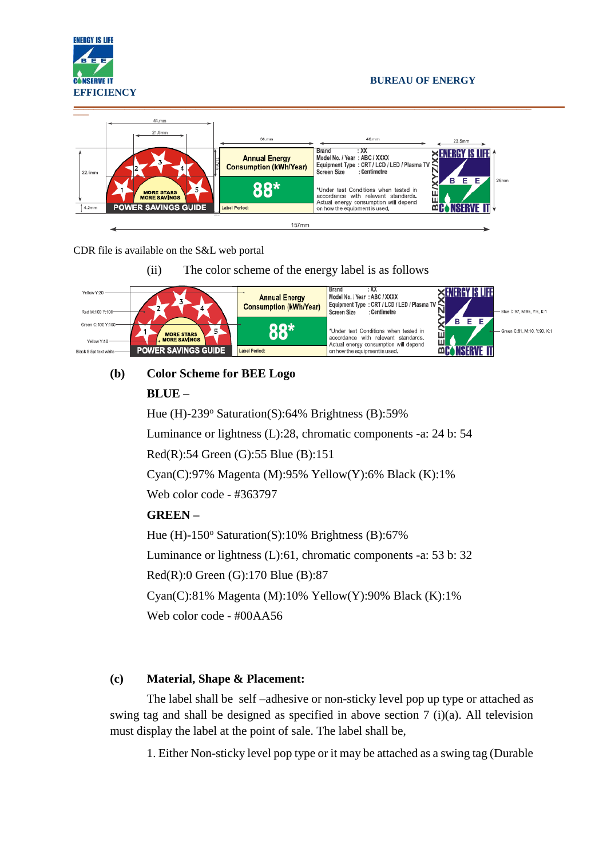

#### **BUREAU OF ENERGY**



#### CDR file is available on the S&L web portal

(ii) The color scheme of the energy label is as follows



# **(b) Color Scheme for BEE Logo**

## **BLUE –**

Hue (H)-239 $\textdegree$  Saturation(S):64% Brightness (B):59% Luminance or lightness (L):28, chromatic components -a: 24 b: 54

Red(R):54 Green (G):55 Blue (B):151

Cyan(C):97% Magenta (M):95% Yellow(Y):6% Black (K):1%

Web color code - #363797

## **GREEN –**

Hue (H)-150 $\textdegree$  Saturation(S):10% Brightness (B):67% Luminance or lightness (L):61, chromatic components -a: 53 b: 32 Red(R):0 Green (G):170 Blue (B):87 Cyan(C):81% Magenta (M):10% Yellow(Y):90% Black (K):1%

Web color code - #00AA56

## **(c) Material, Shape & Placement:**

The label shall be self –adhesive or non-sticky level pop up type or attached as swing tag and shall be designed as specified in above section 7 (i)(a). All television must display the label at the point of sale. The label shall be,

1. Either Non-sticky level pop type or it may be attached as a swing tag (Durable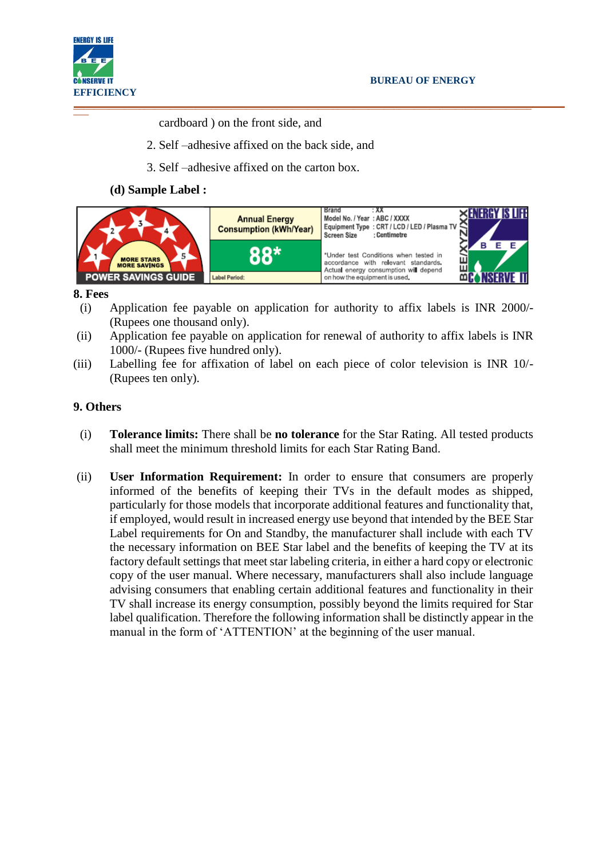

cardboard ) on the front side, and

- 2. Self –adhesive affixed on the back side, and
- 3. Self –adhesive affixed on the carton box.

#### **(d) Sample Label :**



#### **8. Fees**

- (i) Application fee payable on application for authority to affix labels is INR 2000/- (Rupees one thousand only).
- (ii) Application fee payable on application for renewal of authority to affix labels is INR 1000/- (Rupees five hundred only).
- (iii) Labelling fee for affixation of label on each piece of color television is INR 10/- (Rupees ten only).

#### **9. Others**

- (i) **Tolerance limits:** There shall be **no tolerance** for the Star Rating. All tested products shall meet the minimum threshold limits for each Star Rating Band.
- (ii) **User Information Requirement:** In order to ensure that consumers are properly informed of the benefits of keeping their TVs in the default modes as shipped, particularly for those models that incorporate additional features and functionality that, if employed, would result in increased energy use beyond that intended by the BEE Star Label requirements for On and Standby, the manufacturer shall include with each TV the necessary information on BEE Star label and the benefits of keeping the TV at its factory default settings that meet star labeling criteria, in either a hard copy or electronic copy of the user manual. Where necessary, manufacturers shall also include language advising consumers that enabling certain additional features and functionality in their TV shall increase its energy consumption, possibly beyond the limits required for Star label qualification. Therefore the following information shall be distinctly appear in the manual in the form of 'ATTENTION' at the beginning of the user manual.